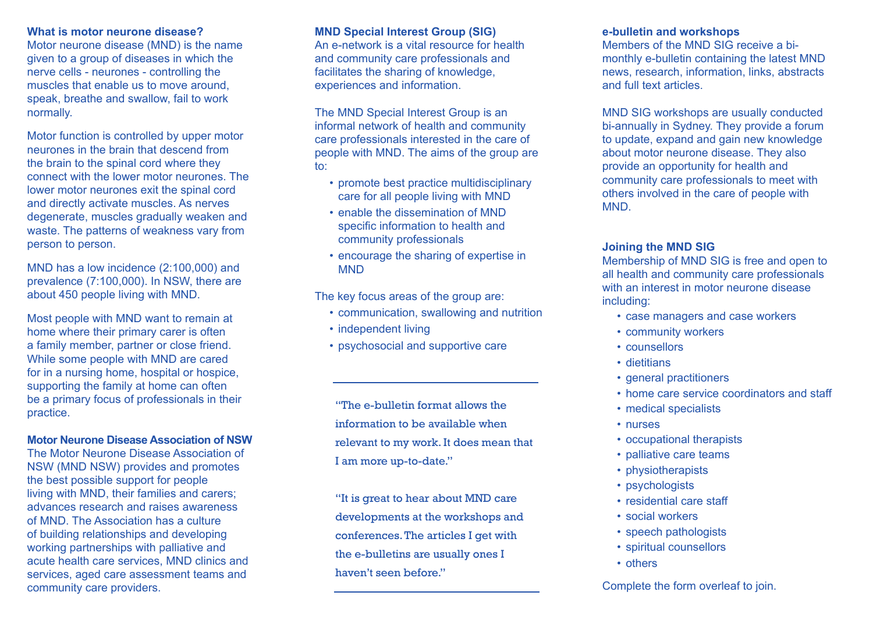#### **What is motor neurone disease?**

Motor neurone disease (MND) is the name given to a group of diseases in which the nerve cells - neurones - controlling the muscles that enable us to move around, speak, breathe and swallow, fail to work normally.

Motor function is controlled by upper motor neurones in the brain that descend from the brain to the spinal cord where they connect with the lower motor neurones. The lower motor neurones exit the spinal cord and directly activate muscles. As nerves degenerate, muscles gradually weaken and waste. The patterns of weakness vary from person to person.

MND has a low incidence (2:100,000) and prevalence (7:100,000). In NSW, there are about 450 people living with MND.

Most people with MND want to remain at home where their primary carer is often a family member, partner or close friend. While some people with MND are cared for in a nursing home, hospital or hospice, supporting the family at home can often be a primary focus of professionals in their practice.

## **Motor Neurone Disease Association of NSW**

The Motor Neurone Disease Association of NSW (MND NSW) provides and promotes the best possible support for people living with MND, their families and carers; advances research and raises awareness of MND. The Association has a culture of building relationships and developing working partnerships with palliative and acute health care services, MND clinics and services, aged care assessment teams and community care providers.

## **MND Special Interest Group (SIG)**

An e-network is a vital resource for health and community care professionals and facilitates the sharing of knowledge, experiences and information.

The MND Special Interest Group is an informal network of health and community care professionals interested in the care of people with MND. The aims of the group are to:

- promote best practice multidisciplinary care for all people living with MND
- enable the dissemination of MND specific information to health and community professionals
- encourage the sharing of expertise in **MND**

The key focus areas of the group are:

- communication, swallowing and nutrition
- independent living
- psychosocial and supportive care

"The e-bulletin format allows the information to be available when relevant to my work. It does mean that I am more up-to-date."

"It is great to hear about MND care developments at the workshops and conferences. The articles I get with the e-bulletins are usually ones I haven't seen before."

## **e-bulletin and workshops**

Members of the MND SIG receive a bimonthly e-bulletin containing the latest MND news, research, information, links, abstracts and full text articles.

MND SIG workshops are usually conducted bi-annually in Sydney. They provide a forum to update, expand and gain new knowledge about motor neurone disease. They also provide an opportunity for health and community care professionals to meet with others involved in the care of people with **MND** 

## **Joining the MND SIG**

Membership of MND SIG is free and open to all health and community care professionals with an interest in motor neurone disease including:

- case managers and case workers
- community workers
- counsellors
- dietitians
- general practitioners
- home care service coordinators and staff
- medical specialists
- nurses
- occupational therapists
- palliative care teams
- physiotherapists
- psychologists
- residential care staff
- social workers
- speech pathologists
- spiritual counsellors
- others

Complete the form overleaf to join.